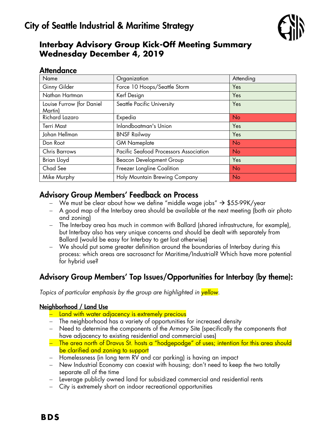

# **Interbay Advisory Group Kick-Off Meeting Summary Wednesday December 4, 2019**

## **Attendance**

| Name                                 | Organization                           | Attending |
|--------------------------------------|----------------------------------------|-----------|
| Ginny Gilder                         | Force 10 Hoops/Seattle Storm           | Yes       |
| Nathan Hartman                       | Kerf Design                            | Yes       |
| Louise Furrow (for Daniel<br>Martin) | Seattle Pacific University             | Yes       |
| Richard Lazaro                       | Expedia                                | <b>No</b> |
| <b>Terri Mast</b>                    | Inlandboatman's Union                  | Yes       |
| Johan Hellman                        | <b>BNSF Railway</b>                    | Yes       |
| Don Root                             | <b>GM Nameplate</b>                    | <b>No</b> |
| <b>Chris Barrows</b>                 | Pacific Seafood Processors Association | <b>No</b> |
| Brian Lloyd                          | <b>Beacon Development Group</b>        | Yes       |
| Chad See                             | Freezer Longline Coalition             | <b>No</b> |
| Mike Murphy                          | Holy Mountain Brewing Company          | <b>No</b> |

## Advisory Group Members' Feedback on Process

- We must be clear about how we define "middle wage jobs"  $\rightarrow$  \$55-99K/year
- A good map of the Interbay area should be available at the next meeting (both air photo and zoning)
- The Interbay area has much in common with Ballard (shared infrastructure, for example), but Interbay also has very unique concerns and should be dealt with separately from Ballard (would be easy for Interbay to get lost otherwise)
- We should put some greater definition around the boundaries of Interbay during this process: which areas are sacrosanct for Maritime/Industrial? Which have more potential for hybrid use?

# Advisory Group Members' Top Issues/Opportunities for Interbay (by theme):

*Topics of particular emphasis by the group are highlighted in yellow.*

### Neighborhood / Land Use

- Land with water adjacency is extremely precious
- The neighborhood has a variety of opportunities for increased density
- Need to determine the components of the Armory Site (specifically the components that have adjacency to existing residential and commercial uses)
- The area north of Dravus St. hosts a "hodgepodge" of uses; intention for this area should be clarified and zoning to support
- Homelessness (in long term RV and car parking) is having an impact
- New Industrial Economy can coexist with housing; don't need to keep the two totally separate all of the time
- Leverage publicly owned land for subsidized commercial and residential rents
- City is extremely short on indoor recreational opportunities